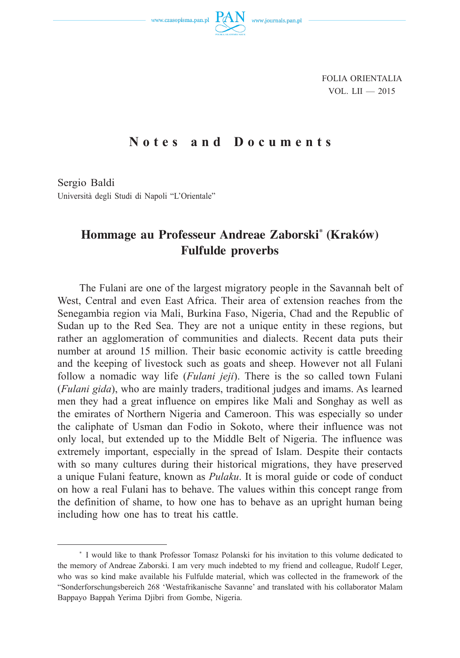

FOLIA ORIENTALIA VOL. LII  $-2015$ 

## **Notes and Documents**

Sergio Baldi Università degli Studi di Napoli "L'Orientale"

## **Hommage au Professeur Andreae Zaborski\* (Kraków) Fulfulde proverbs**

The Fulani are one of the largest migratory people in the Savannah belt of West, Central and even East Africa. Their area of extension reaches from the Senegambia region via Mali, Burkina Faso, Nigeria, Chad and the Republic of Sudan up to the Red Sea. They are not a unique entity in these regions, but rather an agglomeration of communities and dialects. Recent data puts their number at around 15 million. Their basic economic activity is cattle breeding and the keeping of livestock such as goats and sheep. However not all Fulani follow a nomadic way life (*Fulani jeji*). There is the so called town Fulani (*Fulani gida*), who are mainly traders, traditional judges and imams. As learned men they had a great influence on empires like Mali and Songhay as well as the emirates of Northern Nigeria and Cameroon. This was especially so under the caliphate of Usman dan Fodio in Sokoto, where their influence was not only local, but extended up to the Middle Belt of Nigeria. The influence was extremely important, especially in the spread of Islam. Despite their contacts with so many cultures during their historical migrations, they have preserved a unique Fulani feature, known as *Pulaku*. It is moral guide or code of conduct on how a real Fulani has to behave. The values within this concept range from the definition of shame, to how one has to behave as an upright human being including how one has to treat his cattle.

<sup>\*</sup> I would like to thank Professor Tomasz Polanski for his invitation to this volume dedicated to the memory of Andreae Zaborski. I am very much indebted to my friend and colleague, Rudolf Leger, who was so kind make available his Fulfulde material, which was collected in the framework of the "Sonderforschungsbereich 268 'Westafrikanische Savanne' and translated with his collaborator Malam Bappayo Bappah Yerima Djibri from Gombe, Nigeria.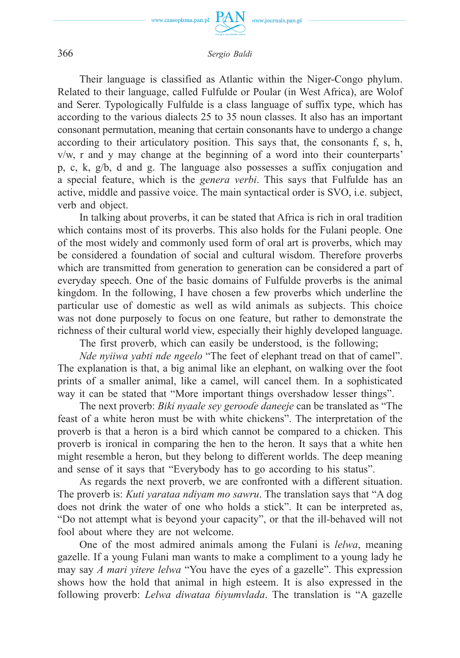

366 *Sergio Baldi*

Their language is classified as Atlantic within the Niger-Congo phylum. Related to their language, called Fulfulde or Poular (in West Africa), are Wolof and Serer. Typologically Fulfulde is a class language of suffix type, which has according to the various dialects 25 to 35 noun classes. It also has an important consonant permutation, meaning that certain consonants have to undergo a change according to their articulatory position. This says that, the consonants f, s, h, v/w, r and y may change at the beginning of a word into their counterparts' p, c, k, g/b, d and g. The language also possesses a suffix conjugation and a special feature, which is the *genera verbi*. This says that Fulfulde has an active, middle and passive voice. The main syntactical order is SVO, i.e. subject, verb and object.

In talking about proverbs, it can be stated that Africa is rich in oral tradition which contains most of its proverbs. This also holds for the Fulani people. One of the most widely and commonly used form of oral art is proverbs, which may be considered a foundation of social and cultural wisdom. Therefore proverbs which are transmitted from generation to generation can be considered a part of everyday speech. One of the basic domains of Fulfulde proverbs is the animal kingdom. In the following, I have chosen a few proverbs which underline the particular use of domestic as well as wild animals as subjects. This choice was not done purposely to focus on one feature, but rather to demonstrate the richness of their cultural world view, especially their highly developed language.

The first proverb, which can easily be understood, is the following;

*Nde nyiiwa yabti nde ngeelo* "The feet of elephant tread on that of camel". The explanation is that, a big animal like an elephant, on walking over the foot prints of a smaller animal, like a camel, will cancel them. In a sophisticated way it can be stated that "More important things overshadow lesser things".

The next proverb: *Biki nyaale sey gerooɗe daneeje* can be translated as "The feast of a white heron must be with white chickens". The interpretation of the proverb is that a heron is a bird which cannot be compared to a chicken. This proverb is ironical in comparing the hen to the heron. It says that a white hen might resemble a heron, but they belong to different worlds. The deep meaning and sense of it says that "Everybody has to go according to his status".

As regards the next proverb, we are confronted with a different situation. The proverb is: *Kuti yarataa ndiyam mo sawru*. The translation says that "A dog does not drink the water of one who holds a stick". It can be interpreted as, "Do not attempt what is beyond your capacity", or that the ill-behaved will not fool about where they are not welcome.

One of the most admired animals among the Fulani is *lelwa*, meaning gazelle. If a young Fulani man wants to make a compliment to a young lady he may say *A mari yitere lelwa* "You have the eyes of a gazelle". This expression shows how the hold that animal in high esteem. It is also expressed in the following proverb: *Lelwa diwataa ɓiyumvlada*. The translation is "A gazelle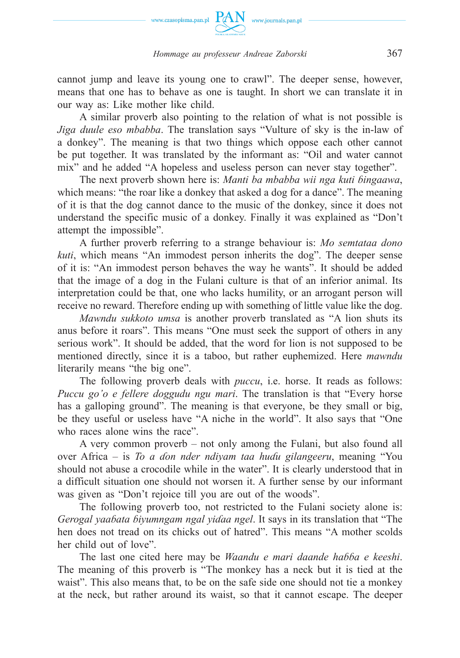

## *Hommage au professeur Andreae Zaborski* 367

cannot jump and leave its young one to crawl". The deeper sense, however, means that one has to behave as one is taught. In short we can translate it in our way as: Like mother like child.

A similar proverb also pointing to the relation of what is not possible is *Jiga duule eso mbabba*. The translation says "Vulture of sky is the in-law of a donkey". The meaning is that two things which oppose each other cannot be put together. It was translated by the informant as: "Oil and water cannot mix" and he added "A hopeless and useless person can never stay together".

The next proverb shown here is: *Manti ba mbabba wii nga kuti ɓingaawa*, which means: "the roar like a donkey that asked a dog for a dance". The meaning of it is that the dog cannot dance to the music of the donkey, since it does not understand the specific music of a donkey. Finally it was explained as "Don't attempt the impossible".

A further proverb referring to a strange behaviour is: *Mo semtataa dono kuti*, which means "An immodest person inherits the dog". The deeper sense of it is: "An immodest person behaves the way he wants". It should be added that the image of a dog in the Fulani culture is that of an inferior animal. Its interpretation could be that, one who lacks humility, or an arrogant person will receive no reward. Therefore ending up with something of little value like the dog.

*Mawndu sukkoto umsa* is another proverb translated as "A lion shuts its anus before it roars". This means "One must seek the support of others in any serious work". It should be added, that the word for lion is not supposed to be mentioned directly, since it is a taboo, but rather euphemized. Here *mawndu* literarily means "the big one".

The following proverb deals with *puccu*, i.e. horse. It reads as follows: *Puccu go'o e fellere doggudu ngu mari*. The translation is that "Every horse has a galloping ground". The meaning is that everyone, be they small or big, be they useful or useless have "A niche in the world". It also says that "One who races alone wins the race".

A very common proverb – not only among the Fulani, but also found all over Africa – is *To a ɗon nder ndiyam taa huɗu gilangeeru*, meaning "You should not abuse a crocodile while in the water". It is clearly understood that in a difficult situation one should not worsen it. A further sense by our informant was given as "Don't rejoice till you are out of the woods".

The following proverb too, not restricted to the Fulani society alone is: *Gerogal yaaɓata ɓiyumngam ngal yiɗaa ngel*. It says in its translation that "The hen does not tread on its chicks out of hatred". This means "A mother scolds her child out of love".

The last one cited here may be *Waandu e mari daande haɓɓa e keeshi*. The meaning of this proverb is "The monkey has a neck but it is tied at the waist". This also means that, to be on the safe side one should not tie a monkey at the neck, but rather around its waist, so that it cannot escape. The deeper